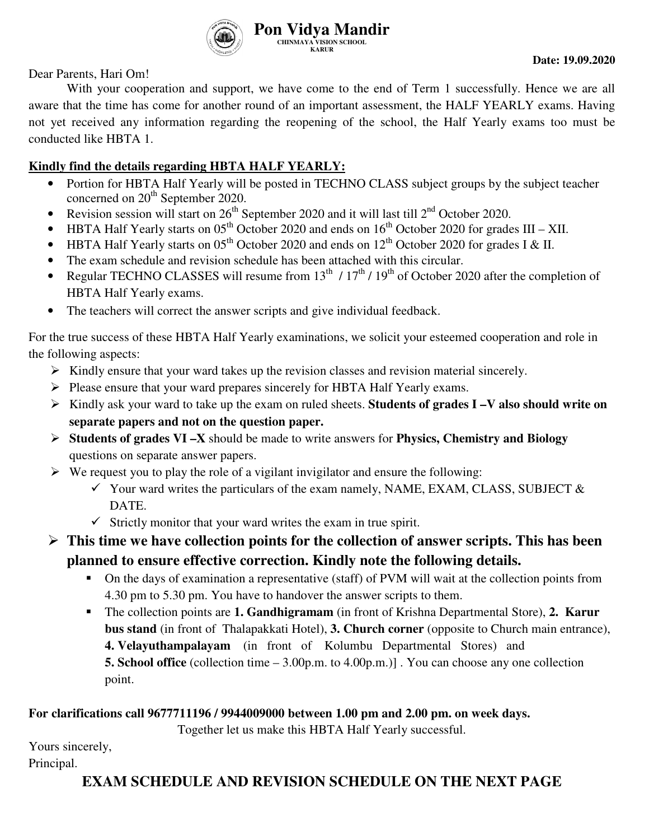

Dear Parents, Hari Om!

With your cooperation and support, we have come to the end of Term 1 successfully. Hence we are all aware that the time has come for another round of an important assessment, the HALF YEARLY exams. Having not yet received any information regarding the reopening of the school, the Half Yearly exams too must be conducted like HBTA 1.

### **Kindly find the details regarding HBTA HALF YEARLY:**

- Portion for HBTA Half Yearly will be posted in TECHNO CLASS subject groups by the subject teacher concerned on 20<sup>th</sup> September 2020.
- Revision session will start on  $26<sup>th</sup>$  September 2020 and it will last till  $2<sup>nd</sup>$  October 2020.
- HBTA Half Yearly starts on  $0.5<sup>th</sup>$  October 2020 and ends on  $16<sup>th</sup>$  October 2020 for grades III XII.
- HBTA Half Yearly starts on  $05<sup>th</sup>$  October 2020 and ends on  $12<sup>th</sup>$  October 2020 for grades I & II.
- The exam schedule and revision schedule has been attached with this circular.
- Regular TECHNO CLASSES will resume from  $13^{th}$  /  $17^{th}$  /  $19^{th}$  of October 2020 after the completion of HBTA Half Yearly exams.
- The teachers will correct the answer scripts and give individual feedback.

For the true success of these HBTA Half Yearly examinations, we solicit your esteemed cooperation and role in the following aspects:

- $\triangleright$  Kindly ensure that your ward takes up the revision classes and revision material sincerely.
- $\triangleright$  Please ensure that your ward prepares sincerely for HBTA Half Yearly exams.
- Kindly ask your ward to take up the exam on ruled sheets. **Students of grades I –V also should write on separate papers and not on the question paper.**
- **Students of grades VI –X** should be made to write answers for **Physics, Chemistry and Biology** questions on separate answer papers.
- $\triangleright$  We request you to play the role of a vigilant invigilator and ensure the following:
	- $\checkmark$  Your ward writes the particulars of the exam namely, NAME, EXAM, CLASS, SUBJECT  $\&$ DATE.
	- $\checkmark$  Strictly monitor that your ward writes the exam in true spirit.

## **This time we have collection points for the collection of answer scripts. This has been planned to ensure effective correction. Kindly note the following details.**

- On the days of examination a representative (staff) of PVM will wait at the collection points from 4.30 pm to 5.30 pm. You have to handover the answer scripts to them.
- The collection points are **1. Gandhigramam** (in front of Krishna Departmental Store), **2. Karur bus stand** (in front of Thalapakkati Hotel), **3. Church corner** (opposite to Church main entrance), **4. Velayuthampalayam** (in front of Kolumbu Departmental Stores) and **5. School office** (collection time – 3.00p.m. to 4.00p.m.)] . You can choose any one collection point.

#### **For clarifications call 9677711196 / 9944009000 between 1.00 pm and 2.00 pm. on week days.**

Together let us make this HBTA Half Yearly successful.

Yours sincerely, Principal.

## **EXAM SCHEDULE AND REVISION SCHEDULE ON THE NEXT PAGE**